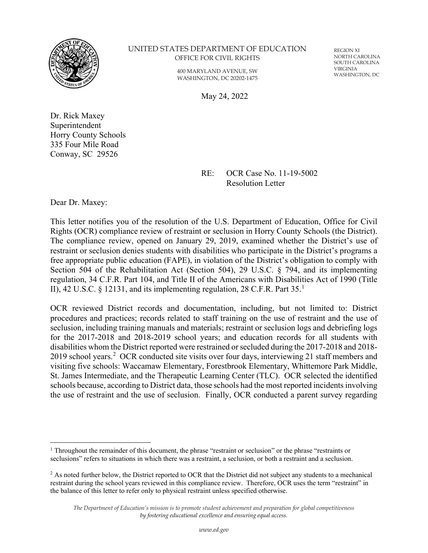

#### UNITED STATES DEPARTMENT OF EDUCATION OFFICE FOR CIVIL RIGHTS

400 MARYLAND AVENUE, SW WASHINGTON, DC 20202-1475 REGION XI NORTH CAROLINA SOUTH CAROLINA VIRGINIA WASHINGTON, DC

May 24, 2022

Dr. Rick Maxey Superintendent Horry County Schools 335 Four Mile Road Conway, SC 29526

> RE: OCR Case No. 11-19-5002 Resolution Letter

Dear Dr. Maxey:

This letter notifies you of the resolution of the U.S. Department of Education, Office for Civil Rights (OCR) compliance review of restraint or seclusion in Horry County Schools (the District). The compliance review, opened on January 29, 2019, examined whether the District's use of restraint or seclusion denies students with disabilities who participate in the District's programs a free appropriate public education (FAPE), in violation of the District's obligation to comply with Section 504 of the Rehabilitation Act (Section 504), 29 U.S.C. § 794, and its implementing regulation, 34 C.F.R. Part 104, and Title II of the Americans with Disabilities Act of 1990 (Title II), 42 U.S.C.  $\&$  [1](#page-0-0)2131, and its implementing regulation, 28 C.F.R. Part 35.<sup>1</sup>

OCR reviewed District records and documentation, including, but not limited to: District procedures and practices; records related to staff training on the use of restraint and the use of seclusion, including training manuals and materials; restraint or seclusion logs and debriefing logs for the 2017-2018 and 2018-2019 school years; and education records for all students with disabilities whom the District reported were restrained or secluded during the 2017-2018 and 2018- [2](#page-0-1)019 school years.<sup>2</sup> OCR conducted site visits over four days, interviewing 21 staff members and visiting five schools: Waccamaw Elementary, Forestbrook Elementary, Whittemore Park Middle, St. James Intermediate, and the Therapeutic Learning Center (TLC). OCR selected the identified schools because, according to District data, those schools had the most reported incidents involving the use of restraint and the use of seclusion. Finally, OCR conducted a parent survey regarding

<span id="page-0-0"></span><sup>1</sup> Throughout the remainder of this document, the phrase "restraint or seclusion" or the phrase "restraints or seclusions" refers to situations in which there was a restraint, a seclusion, or both a restraint and a seclusion.

<span id="page-0-1"></span><sup>&</sup>lt;sup>2</sup> As noted further below, the District reported to OCR that the District did not subject any students to a mechanical restraint during the school years reviewed in this compliance review. Therefore, OCR uses the term "restraint" in the balance of this letter to refer only to physical restraint unless specified otherwise.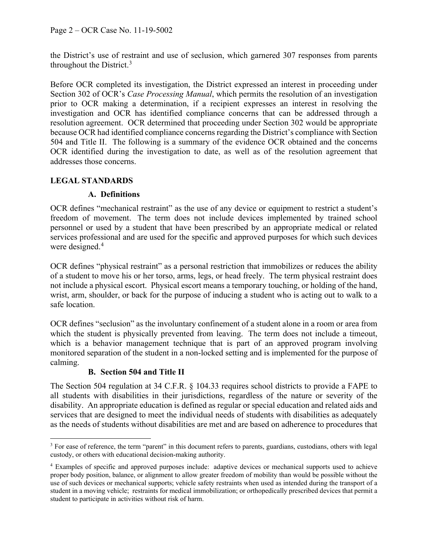the District's use of restraint and use of seclusion, which garnered 307 responses from parents throughout the District.[3](#page-1-0)

Before OCR completed its investigation, the District expressed an interest in proceeding under Section 302 of OCR's *Case Processing Manual*, which permits the resolution of an investigation prior to OCR making a determination, if a recipient expresses an interest in resolving the investigation and OCR has identified compliance concerns that can be addressed through a resolution agreement. OCR determined that proceeding under Section 302 would be appropriate because OCR had identified compliance concerns regarding the District's compliance with Section 504 and Title II. The following is a summary of the evidence OCR obtained and the concerns OCR identified during the investigation to date, as well as of the resolution agreement that addresses those concerns.

### **LEGAL STANDARDS**

### **A. Definitions**

OCR defines "mechanical restraint" as the use of any device or equipment to restrict a student's freedom of movement. The term does not include devices implemented by trained school personnel or used by a student that have been prescribed by an appropriate medical or related services professional and are used for the specific and approved purposes for which such devices were designed.<sup>[4](#page-1-1)</sup>

OCR defines "physical restraint" as a personal restriction that immobilizes or reduces the ability of a student to move his or her torso, arms, legs, or head freely. The term physical restraint does not include a physical escort. Physical escort means a temporary touching, or holding of the hand, wrist, arm, shoulder, or back for the purpose of inducing a student who is acting out to walk to a safe location.

OCR defines "seclusion" as the involuntary confinement of a student alone in a room or area from which the student is physically prevented from leaving. The term does not include a timeout, which is a behavior management technique that is part of an approved program involving monitored separation of the student in a non-locked setting and is implemented for the purpose of calming.

# **B. Section 504 and Title II**

The Section 504 regulation at 34 C.F.R. § 104.33 requires school districts to provide a FAPE to all students with disabilities in their jurisdictions, regardless of the nature or severity of the disability. An appropriate education is defined as regular or special education and related aids and services that are designed to meet the individual needs of students with disabilities as adequately as the needs of students without disabilities are met and are based on adherence to procedures that

<span id="page-1-0"></span><sup>&</sup>lt;sup>3</sup> For ease of reference, the term "parent" in this document refers to parents, guardians, custodians, others with legal custody, or others with educational decision-making authority.

<span id="page-1-1"></span><sup>4</sup> Examples of specific and approved purposes include: adaptive devices or mechanical supports used to achieve proper body position, balance, or alignment to allow greater freedom of mobility than would be possible without the use of such devices or mechanical supports; vehicle safety restraints when used as intended during the transport of a student in a moving vehicle; restraints for medical immobilization; or orthopedically prescribed devices that permit a student to participate in activities without risk of harm.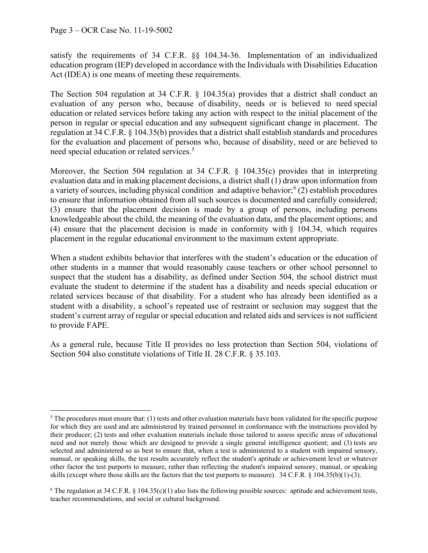satisfy the requirements of 34 C.F.R. §§ 104.34-36. Implementation of an individualized education program (IEP) developed in accordance with the Individuals with Disabilities Education Act (IDEA) is one means of meeting these requirements.

The Section 504 regulation at 34 C.F.R. § 104.35(a) provides that a district shall conduct an evaluation of any person who, because of disability, needs or is believed to need [special](https://www.law.cornell.edu/definitions/index.php?width=840&height=800&iframe=true&def_id=65c55014242d4b01105b438b0e8e42d4&term_occur=999&term_src=Title:34:Subtitle:B:Chapter:I:Part:104:Subpart:D:104.35)  [education](https://www.law.cornell.edu/definitions/index.php?width=840&height=800&iframe=true&def_id=65c55014242d4b01105b438b0e8e42d4&term_occur=999&term_src=Title:34:Subtitle:B:Chapter:I:Part:104:Subpart:D:104.35) or [related services](https://www.law.cornell.edu/definitions/index.php?width=840&height=800&iframe=true&def_id=c9fac1286853fb482ea90c6503f70392&term_occur=999&term_src=Title:34:Subtitle:B:Chapter:I:Part:104:Subpart:D:104.35) before taking any action with respect to the initial placement of the person in regular or [special education](https://www.law.cornell.edu/definitions/index.php?width=840&height=800&iframe=true&def_id=65c55014242d4b01105b438b0e8e42d4&term_occur=999&term_src=Title:34:Subtitle:B:Chapter:I:Part:104:Subpart:D:104.35) and any subsequent significant change in placement. The regulation at 34 C.F.R. § 104.35(b) provides that a district shall establish standards and procedures for the evaluation and placement of persons who, because of disability, need or are believed to need [special education](https://www.law.cornell.edu/definitions/index.php?width=840&height=800&iframe=true&def_id=65c55014242d4b01105b438b0e8e42d4&term_occur=999&term_src=Title:34:Subtitle:B:Chapter:I:Part:104:Subpart:D:104.35) or [related services.](https://www.law.cornell.edu/definitions/index.php?width=840&height=800&iframe=true&def_id=c9fac1286853fb482ea90c6503f70392&term_occur=999&term_src=Title:34:Subtitle:B:Chapter:I:Part:104:Subpart:D:104.35) [5](#page-2-0)

Moreover, the Section 504 regulation at 34 C.F.R. § 104.35(c) provides that in interpreting evaluation data and in making placement decisions, a district shall (1) draw upon information from a variety of sources, including physical condition and adaptive behavior;<sup>[6](#page-2-1)</sup> (2) establish procedures to ensure that information obtained from all such sources is documented and carefully considered; (3) ensure that the placement decision is made by a group of persons, including persons knowledgeable about the child, the meaning of the evaluation data, and the placement options; and (4) ensure that the placement decision is made in conformity with § [104.34,](https://www.law.cornell.edu/cfr/text/34/104.34) which requires placement in the regular educational environment to the maximum extent appropriate.

When a student exhibits behavior that interferes with the student's education or the education of other students in a manner that would reasonably cause teachers or other school personnel to suspect that the student has a disability, as defined under Section 504, the school district must evaluate the student to determine if the student has a disability and needs special education or related services because of that disability. For a student who has already been identified as a student with a disability, a school's repeated use of restraint or seclusion may suggest that the student's current array of regular or special education and related aids and services is not sufficient to provide FAPE.

As a general rule, because Title II provides no less protection than Section 504, violations of Section 504 also constitute violations of Title II. 28 C.F.R. § 35.103.

<span id="page-2-0"></span> $5$  The procedures must ensure that: (1) tests and other evaluation materials have been validated for the specific purpose for which they are used and are administered by trained personnel in conformance with the instructions provided by their producer; (2) tests and other evaluation materials include those tailored to assess specific areas of educational need and not merely those which are designed to provide a single general intelligence quotient; and (3) tests are selected and administered so as best to ensure that, when a test is administered to a student with impaired sensory, manual, or speaking skills, the test results accurately reflect the student's aptitude or achievement level or whatever other factor the test purports to measure, rather than reflecting the student's impaired sensory, manual, or speaking skills (except where those skills are the factors that the test purports to measure). 34 C.F.R. § 104.35(b)(1)-(3).

<span id="page-2-1"></span><sup>&</sup>lt;sup>6</sup> The regulation at 34 C.F.R. § 104.35(c)(1) also lists the following possible sources: aptitude and achievement tests, teacher recommendations, and social or cultural background.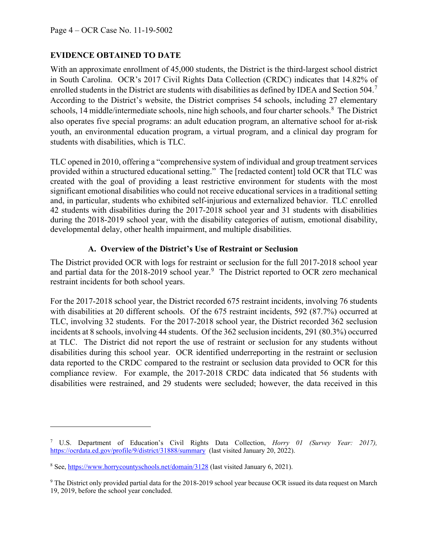## **EVIDENCE OBTAINED TO DATE**

With an approximate enrollment of 45,000 students, the District is the third-largest school district in South Carolina. OCR's 2017 Civil Rights Data Collection (CRDC) indicates that 14.82% of enrolled students in the District are students with disabilities as defined by IDEA and Section 504.<sup>[7](#page-3-0)</sup> According to the District's website, the District comprises 54 schools, including 27 elementary schools, 14 middle/intermediate schools, nine high schools, and four charter schools.<sup>[8](#page-3-1)</sup> The District also operates five special programs: an adult education program, an alternative school for at-risk youth, an environmental education program, a virtual program, and a clinical day program for students with disabilities, which is TLC.

TLC opened in 2010, offering a "comprehensive system of individual and group treatment services provided within a structured educational setting." The [redacted content] told OCR that TLC was created with the goal of providing a least restrictive environment for students with the most significant emotional disabilities who could not receive educational services in a traditional setting and, in particular, students who exhibited self-injurious and externalized behavior. TLC enrolled 42 students with disabilities during the 2017-2018 school year and 31 students with disabilities during the 2018-2019 school year, with the disability categories of autism, emotional disability, developmental delay, other health impairment, and multiple disabilities.

### **A. Overview of the District's Use of Restraint or Seclusion**

The District provided OCR with logs for restraint or seclusion for the full 2017-2018 school year and partial data for the 2018-201[9](#page-3-2) school year.<sup>9</sup> The District reported to OCR zero mechanical restraint incidents for both school years.

For the 2017-2018 school year, the District recorded 675 restraint incidents, involving 76 students with disabilities at 20 different schools. Of the 675 restraint incidents, 592 (87.7%) occurred at TLC, involving 32 students. For the 2017-2018 school year, the District recorded 362 seclusion incidents at 8 schools, involving 44 students. Of the 362 seclusion incidents, 291 (80.3%) occurred at TLC. The District did not report the use of restraint or seclusion for any students without disabilities during this school year. OCR identified underreporting in the restraint or seclusion data reported to the CRDC compared to the restraint or seclusion data provided to OCR for this compliance review. For example, the 2017-2018 CRDC data indicated that 56 students with disabilities were restrained, and 29 students were secluded; however, the data received in this

<span id="page-3-0"></span><sup>7</sup> U.S. Department of Education's Civil Rights Data Collection, *Horry 01 (Survey Year: 2017),*  <https://ocrdata.ed.gov/profile/9/district/31888/summary> (last visited January 20, 2022).

<span id="page-3-1"></span><sup>8</sup> See,<https://www.horrycountyschools.net/domain/3128> (last visited January 6, 2021).

<span id="page-3-2"></span><sup>9</sup> The District only provided partial data for the 2018-2019 school year because OCR issued its data request on March 19, 2019, before the school year concluded.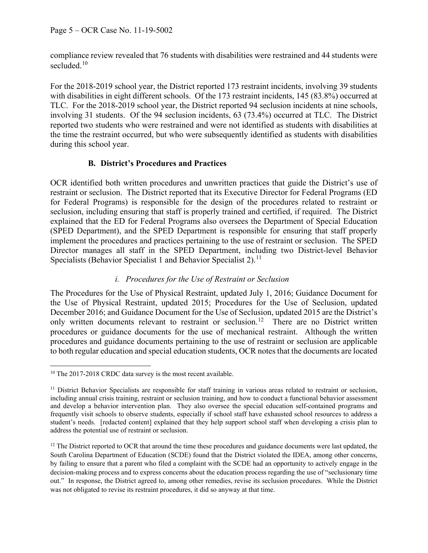compliance review revealed that 76 students with disabilities were restrained and 44 students were secluded.<sup>[10](#page-4-0)</sup>

For the 2018-2019 school year, the District reported 173 restraint incidents, involving 39 students with disabilities in eight different schools. Of the 173 restraint incidents, 145 (83.8%) occurred at TLC. For the 2018-2019 school year, the District reported 94 seclusion incidents at nine schools, involving 31 students. Of the 94 seclusion incidents, 63 (73.4%) occurred at TLC. The District reported two students who were restrained and were not identified as students with disabilities at the time the restraint occurred, but who were subsequently identified as students with disabilities during this school year.

### **B. District's Procedures and Practices**

OCR identified both written procedures and unwritten practices that guide the District's use of restraint or seclusion. The District reported that its Executive Director for Federal Programs (ED for Federal Programs) is responsible for the design of the procedures related to restraint or seclusion, including ensuring that staff is properly trained and certified, if required. The District explained that the ED for Federal Programs also oversees the Department of Special Education (SPED Department), and the SPED Department is responsible for ensuring that staff properly implement the procedures and practices pertaining to the use of restraint or seclusion. The SPED Director manages all staff in the SPED Department, including two District-level Behavior Specialists (Behavior Specialist 1 and Behavior Specialist 2).<sup>[11](#page-4-1)</sup>

### *i. Procedures for the Use of Restraint or Seclusion*

The Procedures for the Use of Physical Restraint, updated July 1, 2016; Guidance Document for the Use of Physical Restraint, updated 2015; Procedures for the Use of Seclusion, updated December 2016; and Guidance Document for the Use of Seclusion, updated 2015 are the District's only written documents relevant to restraint or seclusion.<sup>[12](#page-4-2)</sup> There are no District written procedures or guidance documents for the use of mechanical restraint. Although the written procedures and guidance documents pertaining to the use of restraint or seclusion are applicable to both regular education and special education students, OCR notes that the documents are located

<span id="page-4-0"></span><sup>&</sup>lt;sup>10</sup> The 2017-2018 CRDC data survey is the most recent available.

<span id="page-4-1"></span> $11$  District Behavior Specialists are responsible for staff training in various areas related to restraint or seclusion, including annual crisis training, restraint or seclusion training, and how to conduct a functional behavior assessment and develop a behavior intervention plan. They also oversee the special education self-contained programs and frequently visit schools to observe students, especially if school staff have exhausted school resources to address a student's needs. [redacted content] explained that they help support school staff when developing a crisis plan to address the potential use of restraint or seclusion.

<span id="page-4-2"></span> $12$  The District reported to OCR that around the time these procedures and guidance documents were last updated, the South Carolina Department of Education (SCDE) found that the District violated the IDEA, among other concerns, by failing to ensure that a parent who filed a complaint with the SCDE had an opportunity to actively engage in the decision-making process and to express concerns about the education process regarding the use of "seclusionary time out." In response, the District agreed to, among other remedies, revise its seclusion procedures. While the District was not obligated to revise its restraint procedures, it did so anyway at that time.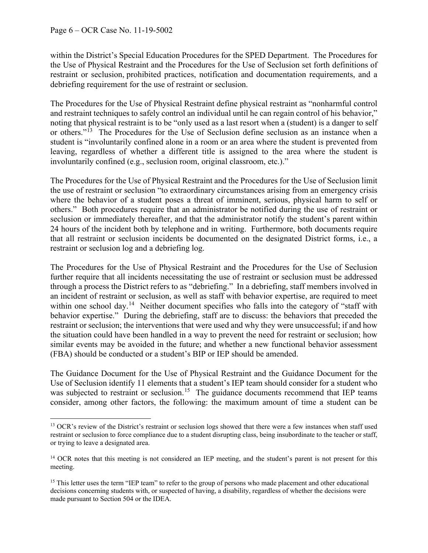within the District's Special Education Procedures for the SPED Department. The Procedures for the Use of Physical Restraint and the Procedures for the Use of Seclusion set forth definitions of restraint or seclusion, prohibited practices, notification and documentation requirements, and a debriefing requirement for the use of restraint or seclusion.

The Procedures for the Use of Physical Restraint define physical restraint as "nonharmful control and restraint techniques to safely control an individual until he can regain control of his behavior," noting that physical restraint is to be "only used as a last resort when a (student) is a danger to self or others."<sup>13</sup> The Procedures for the Use of Seclusion define seclusion as an instance when a student is "involuntarily confined alone in a room or an area where the student is prevented from leaving, regardless of whether a different title is assigned to the area where the student is involuntarily confined (e.g., seclusion room, original classroom, etc.)."

The Procedures for the Use of Physical Restraint and the Procedures for the Use of Seclusion limit the use of restraint or seclusion "to extraordinary circumstances arising from an emergency crisis where the behavior of a student poses a threat of imminent, serious, physical harm to self or others." Both procedures require that an administrator be notified during the use of restraint or seclusion or immediately thereafter, and that the administrator notify the student's parent within 24 hours of the incident both by telephone and in writing. Furthermore, both documents require that all restraint or seclusion incidents be documented on the designated District forms, i.e., a restraint or seclusion log and a debriefing log.

The Procedures for the Use of Physical Restraint and the Procedures for the Use of Seclusion further require that all incidents necessitating the use of restraint or seclusion must be addressed through a process the District refers to as "debriefing." In a debriefing, staff members involved in an incident of restraint or seclusion, as well as staff with behavior expertise, are required to meet within one school day.<sup>[14](#page-5-1)</sup> Neither document specifies who falls into the category of "staff with behavior expertise." During the debriefing, staff are to discuss: the behaviors that preceded the restraint or seclusion; the interventions that were used and why they were unsuccessful; if and how the situation could have been handled in a way to prevent the need for restraint or seclusion; how similar events may be avoided in the future; and whether a new functional behavior assessment (FBA) should be conducted or a student's BIP or IEP should be amended.

The Guidance Document for the Use of Physical Restraint and the Guidance Document for the Use of Seclusion identify 11 elements that a student's IEP team should consider for a student who was subjected to restraint or seclusion.<sup>[15](#page-5-2)</sup> The guidance documents recommend that IEP teams consider, among other factors, the following: the maximum amount of time a student can be

<span id="page-5-0"></span><sup>&</sup>lt;sup>13</sup> OCR's review of the District's restraint or seclusion logs showed that there were a few instances when staff used restraint or seclusion to force compliance due to a student disrupting class, being insubordinate to the teacher or staff, or trying to leave a designated area.

<span id="page-5-1"></span><sup>&</sup>lt;sup>14</sup> OCR notes that this meeting is not considered an IEP meeting, and the student's parent is not present for this meeting.

<span id="page-5-2"></span><sup>&</sup>lt;sup>15</sup> This letter uses the term "IEP team" to refer to the group of persons who made placement and other educational decisions concerning students with, or suspected of having, a disability, regardless of whether the decisions were made pursuant to Section 504 or the IDEA.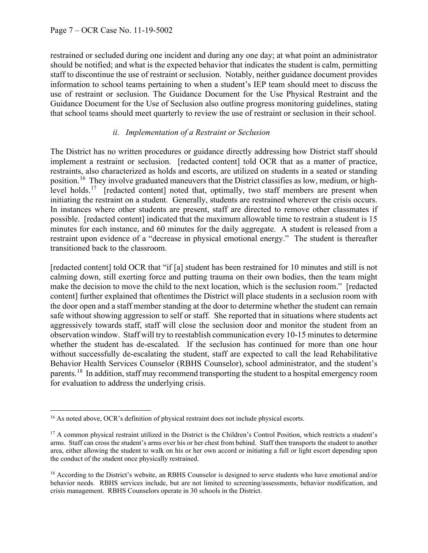restrained or secluded during one incident and during any one day; at what point an administrator should be notified; and what is the expected behavior that indicates the student is calm, permitting staff to discontinue the use of restraint or seclusion. Notably, neither guidance document provides information to school teams pertaining to when a student's IEP team should meet to discuss the use of restraint or seclusion. The Guidance Document for the Use Physical Restraint and the Guidance Document for the Use of Seclusion also outline progress monitoring guidelines, stating that school teams should meet quarterly to review the use of restraint or seclusion in their school.

#### *ii. Implementation of a Restraint or Seclusion*

The District has no written procedures or guidance directly addressing how District staff should implement a restraint or seclusion. [redacted content] told OCR that as a matter of practice, restraints, also characterized as holds and escorts, are utilized on students in a seated or standing position.<sup>[16](#page-6-0)</sup> They involve graduated maneuvers that the District classifies as low, medium, or high-level holds.<sup>[17](#page-6-1)</sup> [redacted content] noted that, optimally, two staff members are present when initiating the restraint on a student. Generally, students are restrained wherever the crisis occurs. In instances where other students are present, staff are directed to remove other classmates if possible. [redacted content] indicated that the maximum allowable time to restrain a student is 15 minutes for each instance, and 60 minutes for the daily aggregate. A student is released from a restraint upon evidence of a "decrease in physical emotional energy." The student is thereafter transitioned back to the classroom.

[redacted content] told OCR that "if [a] student has been restrained for 10 minutes and still is not calming down, still exerting force and putting trauma on their own bodies, then the team might make the decision to move the child to the next location, which is the seclusion room." [redacted content] further explained that oftentimes the District will place students in a seclusion room with the door open and a staff member standing at the door to determine whether the student can remain safe without showing aggression to self or staff. She reported that in situations where students act aggressively towards staff, staff will close the seclusion door and monitor the student from an observation window. Staff will try to reestablish communication every 10-15 minutes to determine whether the student has de-escalated. If the seclusion has continued for more than one hour without successfully de-escalating the student, staff are expected to call the lead Rehabilitative Behavior Health Services Counselor (RBHS Counselor), school administrator, and the student's parents.<sup>[18](#page-6-2)</sup> In addition, staff may recommend transporting the student to a hospital emergency room for evaluation to address the underlying crisis.

<span id="page-6-0"></span><sup>&</sup>lt;sup>16</sup> As noted above, OCR's definition of physical restraint does not include physical escorts.

<span id="page-6-1"></span><sup>&</sup>lt;sup>17</sup> A common physical restraint utilized in the District is the Children's Control Position, which restricts a student's arms. Staff can cross the student's arms over his or her chest from behind. Staff then transports the student to another area, either allowing the student to walk on his or her own accord or initiating a full or light escort depending upon the conduct of the student once physically restrained.

<span id="page-6-2"></span><sup>&</sup>lt;sup>18</sup> According to the District's website, an RBHS Counselor is designed to serve students who have emotional and/or behavior needs. RBHS services include, but are not limited to screening/assessments, behavior modification, and crisis management. RBHS Counselors operate in 30 schools in the District.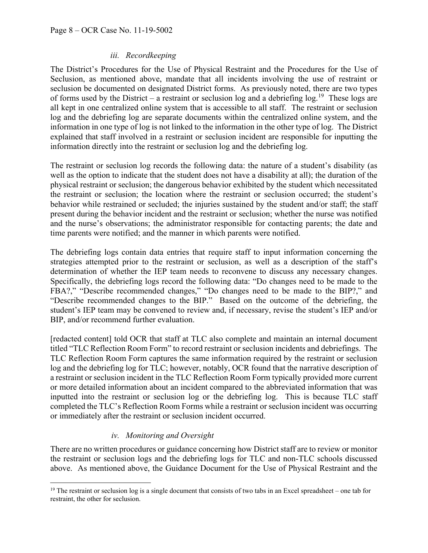### *iii. Recordkeeping*

The District's Procedures for the Use of Physical Restraint and the Procedures for the Use of Seclusion, as mentioned above, mandate that all incidents involving the use of restraint or seclusion be documented on designated District forms. As previously noted, there are two types of forms used by the District – a restraint or seclusion log and a debriefing  $log.^{19}$  These logs are all kept in one centralized online system that is accessible to all staff. The restraint or seclusion log and the debriefing log are separate documents within the centralized online system, and the information in one type of log is not linked to the information in the other type of log. The District explained that staff involved in a restraint or seclusion incident are responsible for inputting the information directly into the restraint or seclusion log and the debriefing log.

The restraint or seclusion log records the following data: the nature of a student's disability (as well as the option to indicate that the student does not have a disability at all); the duration of the physical restraint or seclusion; the dangerous behavior exhibited by the student which necessitated the restraint or seclusion; the location where the restraint or seclusion occurred; the student's behavior while restrained or secluded; the injuries sustained by the student and/or staff; the staff present during the behavior incident and the restraint or seclusion; whether the nurse was notified and the nurse's observations; the administrator responsible for contacting parents; the date and time parents were notified; and the manner in which parents were notified.

The debriefing logs contain data entries that require staff to input information concerning the strategies attempted prior to the restraint or seclusion, as well as a description of the staff's determination of whether the IEP team needs to reconvene to discuss any necessary changes. Specifically, the debriefing logs record the following data: "Do changes need to be made to the FBA?," "Describe recommended changes," "Do changes need to be made to the BIP?," and "Describe recommended changes to the BIP." Based on the outcome of the debriefing, the student's IEP team may be convened to review and, if necessary, revise the student's IEP and/or BIP, and/or recommend further evaluation.

[redacted content] told OCR that staff at TLC also complete and maintain an internal document titled "TLC Reflection Room Form" to record restraint or seclusion incidents and debriefings. The TLC Reflection Room Form captures the same information required by the restraint or seclusion log and the debriefing log for TLC; however, notably, OCR found that the narrative description of a restraint or seclusion incident in the TLC Reflection Room Form typically provided more current or more detailed information about an incident compared to the abbreviated information that was inputted into the restraint or seclusion log or the debriefing log. This is because TLC staff completed the TLC's Reflection Room Forms while a restraint or seclusion incident was occurring or immediately after the restraint or seclusion incident occurred.

# *iv. Monitoring and Oversight*

There are no written procedures or guidance concerning how District staff are to review or monitor the restraint or seclusion logs and the debriefing logs for TLC and non-TLC schools discussed above. As mentioned above, the Guidance Document for the Use of Physical Restraint and the

<span id="page-7-0"></span><sup>&</sup>lt;sup>19</sup> The restraint or seclusion log is a single document that consists of two tabs in an Excel spreadsheet – one tab for restraint, the other for seclusion.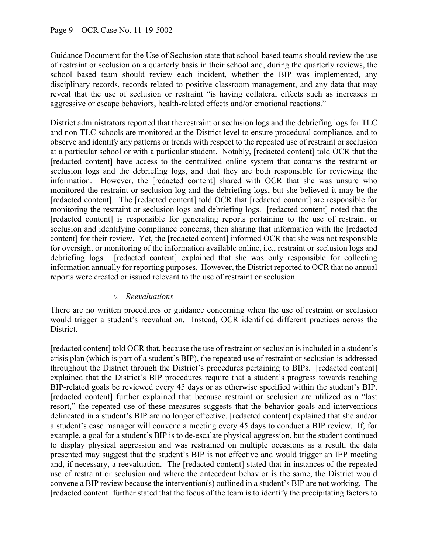Guidance Document for the Use of Seclusion state that school-based teams should review the use of restraint or seclusion on a quarterly basis in their school and, during the quarterly reviews, the school based team should review each incident, whether the BIP was implemented, any disciplinary records, records related to positive classroom management, and any data that may reveal that the use of seclusion or restraint "is having collateral effects such as increases in aggressive or escape behaviors, health-related effects and/or emotional reactions."

District administrators reported that the restraint or seclusion logs and the debriefing logs for TLC and non-TLC schools are monitored at the District level to ensure procedural compliance, and to observe and identify any patterns or trends with respect to the repeated use of restraint or seclusion at a particular school or with a particular student. Notably, [redacted content] told OCR that the [redacted content] have access to the centralized online system that contains the restraint or seclusion logs and the debriefing logs, and that they are both responsible for reviewing the information. However, the [redacted content] shared with OCR that she was unsure who monitored the restraint or seclusion log and the debriefing logs, but she believed it may be the [redacted content]. The [redacted content] told OCR that [redacted content] are responsible for monitoring the restraint or seclusion logs and debriefing logs. [redacted content] noted that the [redacted content] is responsible for generating reports pertaining to the use of restraint or seclusion and identifying compliance concerns, then sharing that information with the [redacted content] for their review. Yet, the [redacted content] informed OCR that she was not responsible for oversight or monitoring of the information available online, i.e., restraint or seclusion logs and debriefing logs. [redacted content] explained that she was only responsible for collecting information annually for reporting purposes. However, the District reported to OCR that no annual reports were created or issued relevant to the use of restraint or seclusion.

### *v. Reevaluations*

There are no written procedures or guidance concerning when the use of restraint or seclusion would trigger a student's reevaluation. Instead, OCR identified different practices across the District.

[redacted content] told OCR that, because the use of restraint or seclusion is included in a student's crisis plan (which is part of a student's BIP), the repeated use of restraint or seclusion is addressed throughout the District through the District's procedures pertaining to BIPs. [redacted content] explained that the District's BIP procedures require that a student's progress towards reaching BIP-related goals be reviewed every 45 days or as otherwise specified within the student's BIP. [redacted content] further explained that because restraint or seclusion are utilized as a "last" resort," the repeated use of these measures suggests that the behavior goals and interventions delineated in a student's BIP are no longer effective. [redacted content] explained that she and/or a student's case manager will convene a meeting every 45 days to conduct a BIP review. If, for example, a goal for a student's BIP is to de-escalate physical aggression, but the student continued to display physical aggression and was restrained on multiple occasions as a result, the data presented may suggest that the student's BIP is not effective and would trigger an IEP meeting and, if necessary, a reevaluation. The [redacted content] stated that in instances of the repeated use of restraint or seclusion and where the antecedent behavior is the same, the District would convene a BIP review because the intervention(s) outlined in a student's BIP are not working. The [redacted content] further stated that the focus of the team is to identify the precipitating factors to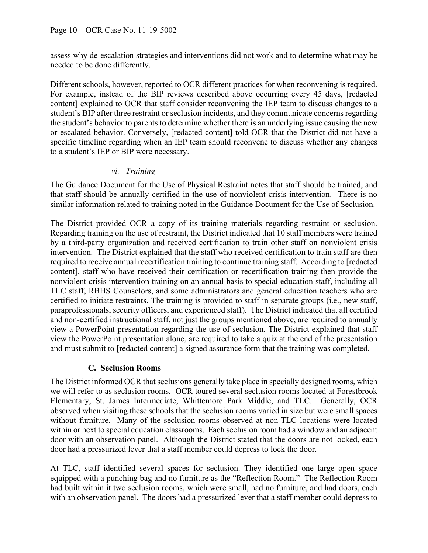assess why de-escalation strategies and interventions did not work and to determine what may be needed to be done differently.

Different schools, however, reported to OCR different practices for when reconvening is required. For example, instead of the BIP reviews described above occurring every 45 days, [redacted content] explained to OCR that staff consider reconvening the IEP team to discuss changes to a student's BIP after three restraint or seclusion incidents, and they communicate concerns regarding the student's behavior to parents to determine whether there is an underlying issue causing the new or escalated behavior. Conversely, [redacted content] told OCR that the District did not have a specific timeline regarding when an IEP team should reconvene to discuss whether any changes to a student's IEP or BIP were necessary.

### *vi. Training*

The Guidance Document for the Use of Physical Restraint notes that staff should be trained, and that staff should be annually certified in the use of nonviolent crisis intervention. There is no similar information related to training noted in the Guidance Document for the Use of Seclusion.

The District provided OCR a copy of its training materials regarding restraint or seclusion. Regarding training on the use of restraint, the District indicated that 10 staff members were trained by a third-party organization and received certification to train other staff on nonviolent crisis intervention. The District explained that the staff who received certification to train staff are then required to receive annual recertification training to continue training staff. According to [redacted content], staff who have received their certification or recertification training then provide the nonviolent crisis intervention training on an annual basis to special education staff, including all TLC staff, RBHS Counselors, and some administrators and general education teachers who are certified to initiate restraints. The training is provided to staff in separate groups (i.e., new staff, paraprofessionals, security officers, and experienced staff). The District indicated that all certified and non-certified instructional staff, not just the groups mentioned above, are required to annually view a PowerPoint presentation regarding the use of seclusion. The District explained that staff view the PowerPoint presentation alone, are required to take a quiz at the end of the presentation and must submit to [redacted content] a signed assurance form that the training was completed.

# **C. Seclusion Rooms**

The District informed OCR that seclusions generally take place in specially designed rooms, which we will refer to as seclusion rooms. OCR toured several seclusion rooms located at Forestbrook Elementary, St. James Intermediate, Whittemore Park Middle, and TLC. Generally, OCR observed when visiting these schools that the seclusion rooms varied in size but were small spaces without furniture. Many of the seclusion rooms observed at non-TLC locations were located within or next to special education classrooms. Each seclusion room had a window and an adjacent door with an observation panel. Although the District stated that the doors are not locked, each door had a pressurized lever that a staff member could depress to lock the door.

At TLC, staff identified several spaces for seclusion. They identified one large open space equipped with a punching bag and no furniture as the "Reflection Room." The Reflection Room had built within it two seclusion rooms, which were small, had no furniture, and had doors, each with an observation panel. The doors had a pressurized lever that a staff member could depress to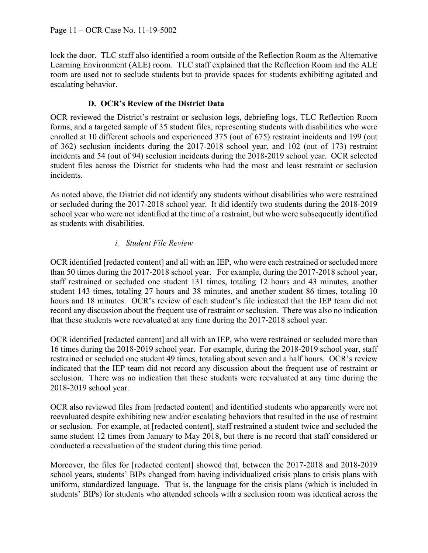lock the door. TLC staff also identified a room outside of the Reflection Room as the Alternative Learning Environment (ALE) room. TLC staff explained that the Reflection Room and the ALE room are used not to seclude students but to provide spaces for students exhibiting agitated and escalating behavior.

## **D. OCR's Review of the District Data**

OCR reviewed the District's restraint or seclusion logs, debriefing logs, TLC Reflection Room forms, and a targeted sample of 35 student files, representing students with disabilities who were enrolled at 10 different schools and experienced 375 (out of 675) restraint incidents and 199 (out of 362) seclusion incidents during the 2017-2018 school year, and 102 (out of 173) restraint incidents and 54 (out of 94) seclusion incidents during the 2018-2019 school year. OCR selected student files across the District for students who had the most and least restraint or seclusion incidents.

As noted above, the District did not identify any students without disabilities who were restrained or secluded during the 2017-2018 school year. It did identify two students during the 2018-2019 school year who were not identified at the time of a restraint, but who were subsequently identified as students with disabilities.

### *i. Student File Review*

OCR identified [redacted content] and all with an IEP, who were each restrained or secluded more than 50 times during the 2017-2018 school year. For example, during the 2017-2018 school year, staff restrained or secluded one student 131 times, totaling 12 hours and 43 minutes, another student 143 times, totaling 27 hours and 38 minutes, and another student 86 times, totaling 10 hours and 18 minutes. OCR's review of each student's file indicated that the IEP team did not record any discussion about the frequent use of restraint or seclusion. There was also no indication that these students were reevaluated at any time during the 2017-2018 school year.

OCR identified [redacted content] and all with an IEP, who were restrained or secluded more than 16 times during the 2018-2019 school year. For example, during the 2018-2019 school year, staff restrained or secluded one student 49 times, totaling about seven and a half hours. OCR's review indicated that the IEP team did not record any discussion about the frequent use of restraint or seclusion. There was no indication that these students were reevaluated at any time during the 2018-2019 school year.

OCR also reviewed files from [redacted content] and identified students who apparently were not reevaluated despite exhibiting new and/or escalating behaviors that resulted in the use of restraint or seclusion. For example, at [redacted content], staff restrained a student twice and secluded the same student 12 times from January to May 2018, but there is no record that staff considered or conducted a reevaluation of the student during this time period.

Moreover, the files for [redacted content] showed that, between the 2017-2018 and 2018-2019 school years, students' BIPs changed from having individualized crisis plans to crisis plans with uniform, standardized language. That is, the language for the crisis plans (which is included in students' BIPs) for students who attended schools with a seclusion room was identical across the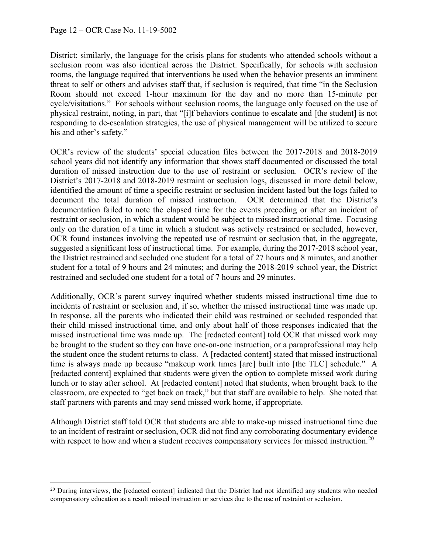District; similarly, the language for the crisis plans for students who attended schools without a seclusion room was also identical across the District. Specifically, for schools with seclusion rooms, the language required that interventions be used when the behavior presents an imminent threat to self or others and advises staff that, if seclusion is required, that time "in the Seclusion Room should not exceed 1-hour maximum for the day and no more than 15-minute per cycle/visitations." For schools without seclusion rooms, the language only focused on the use of physical restraint, noting, in part, that "[i]f behaviors continue to escalate and [the student] is not responding to de-escalation strategies, the use of physical management will be utilized to secure his and other's safety."

OCR's review of the students' special education files between the 2017-2018 and 2018-2019 school years did not identify any information that shows staff documented or discussed the total duration of missed instruction due to the use of restraint or seclusion. OCR's review of the District's 2017-2018 and 2018-2019 restraint or seclusion logs, discussed in more detail below, identified the amount of time a specific restraint or seclusion incident lasted but the logs failed to document the total duration of missed instruction. OCR determined that the District's documentation failed to note the elapsed time for the events preceding or after an incident of restraint or seclusion, in which a student would be subject to missed instructional time. Focusing only on the duration of a time in which a student was actively restrained or secluded, however, OCR found instances involving the repeated use of restraint or seclusion that, in the aggregate, suggested a significant loss of instructional time. For example, during the 2017-2018 school year, the District restrained and secluded one student for a total of 27 hours and 8 minutes, and another student for a total of 9 hours and 24 minutes; and during the 2018-2019 school year, the District restrained and secluded one student for a total of 7 hours and 29 minutes.

Additionally, OCR's parent survey inquired whether students missed instructional time due to incidents of restraint or seclusion and, if so, whether the missed instructional time was made up. In response, all the parents who indicated their child was restrained or secluded responded that their child missed instructional time, and only about half of those responses indicated that the missed instructional time was made up. The [redacted content] told OCR that missed work may be brought to the student so they can have one-on-one instruction, or a paraprofessional may help the student once the student returns to class. A [redacted content] stated that missed instructional time is always made up because "makeup work times [are] built into [the TLC] schedule." A [redacted content] explained that students were given the option to complete missed work during lunch or to stay after school. At [redacted content] noted that students, when brought back to the classroom, are expected to "get back on track," but that staff are available to help. She noted that staff partners with parents and may send missed work home, if appropriate.

Although District staff told OCR that students are able to make-up missed instructional time due to an incident of restraint or seclusion, OCR did not find any corroborating documentary evidence with respect to how and when a student receives compensatory services for missed instruction.<sup>[20](#page-11-0)</sup>

<span id="page-11-0"></span><sup>&</sup>lt;sup>20</sup> During interviews, the [redacted content] indicated that the District had not identified any students who needed compensatory education as a result missed instruction or services due to the use of restraint or seclusion.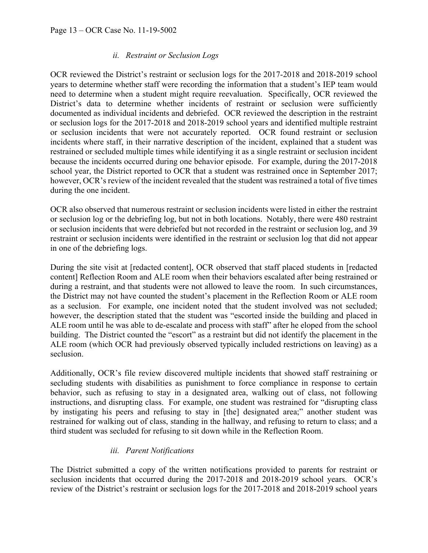### *ii. Restraint or Seclusion Logs*

OCR reviewed the District's restraint or seclusion logs for the 2017-2018 and 2018-2019 school years to determine whether staff were recording the information that a student's IEP team would need to determine when a student might require reevaluation. Specifically, OCR reviewed the District's data to determine whether incidents of restraint or seclusion were sufficiently documented as individual incidents and debriefed. OCR reviewed the description in the restraint or seclusion logs for the 2017-2018 and 2018-2019 school years and identified multiple restraint or seclusion incidents that were not accurately reported. OCR found restraint or seclusion incidents where staff, in their narrative description of the incident, explained that a student was restrained or secluded multiple times while identifying it as a single restraint or seclusion incident because the incidents occurred during one behavior episode. For example, during the 2017-2018 school year, the District reported to OCR that a student was restrained once in September 2017; however, OCR's review of the incident revealed that the student was restrained a total of five times during the one incident.

OCR also observed that numerous restraint or seclusion incidents were listed in either the restraint or seclusion log or the debriefing log, but not in both locations. Notably, there were 480 restraint or seclusion incidents that were debriefed but not recorded in the restraint or seclusion log, and 39 restraint or seclusion incidents were identified in the restraint or seclusion log that did not appear in one of the debriefing logs.

During the site visit at [redacted content], OCR observed that staff placed students in [redacted content] Reflection Room and ALE room when their behaviors escalated after being restrained or during a restraint, and that students were not allowed to leave the room. In such circumstances, the District may not have counted the student's placement in the Reflection Room or ALE room as a seclusion. For example, one incident noted that the student involved was not secluded; however, the description stated that the student was "escorted inside the building and placed in ALE room until he was able to de-escalate and process with staff" after he eloped from the school building. The District counted the "escort" as a restraint but did not identify the placement in the ALE room (which OCR had previously observed typically included restrictions on leaving) as a seclusion.

Additionally, OCR's file review discovered multiple incidents that showed staff restraining or secluding students with disabilities as punishment to force compliance in response to certain behavior, such as refusing to stay in a designated area, walking out of class, not following instructions, and disrupting class. For example, one student was restrained for "disrupting class by instigating his peers and refusing to stay in [the] designated area;" another student was restrained for walking out of class, standing in the hallway, and refusing to return to class; and a third student was secluded for refusing to sit down while in the Reflection Room.

# *iii. Parent Notifications*

The District submitted a copy of the written notifications provided to parents for restraint or seclusion incidents that occurred during the 2017-2018 and 2018-2019 school years. OCR's review of the District's restraint or seclusion logs for the 2017-2018 and 2018-2019 school years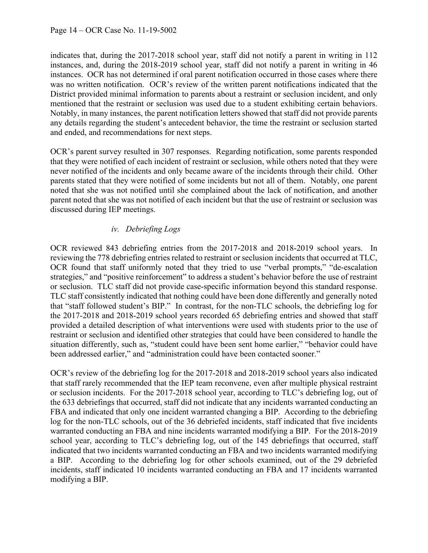indicates that, during the 2017-2018 school year, staff did not notify a parent in writing in 112 instances, and, during the 2018-2019 school year, staff did not notify a parent in writing in 46 instances. OCR has not determined if oral parent notification occurred in those cases where there was no written notification. OCR's review of the written parent notifications indicated that the District provided minimal information to parents about a restraint or seclusion incident, and only mentioned that the restraint or seclusion was used due to a student exhibiting certain behaviors. Notably, in many instances, the parent notification letters showed that staff did not provide parents any details regarding the student's antecedent behavior, the time the restraint or seclusion started and ended, and recommendations for next steps.

OCR's parent survey resulted in 307 responses. Regarding notification, some parents responded that they were notified of each incident of restraint or seclusion, while others noted that they were never notified of the incidents and only became aware of the incidents through their child. Other parents stated that they were notified of some incidents but not all of them. Notably, one parent noted that she was not notified until she complained about the lack of notification, and another parent noted that she was not notified of each incident but that the use of restraint or seclusion was discussed during IEP meetings.

# *iv. Debriefing Logs*

OCR reviewed 843 debriefing entries from the 2017-2018 and 2018-2019 school years. In reviewing the 778 debriefing entries related to restraint or seclusion incidents that occurred at TLC, OCR found that staff uniformly noted that they tried to use "verbal prompts," "de-escalation strategies," and "positive reinforcement" to address a student's behavior before the use of restraint or seclusion. TLC staff did not provide case-specific information beyond this standard response. TLC staff consistently indicated that nothing could have been done differently and generally noted that "staff followed student's BIP." In contrast, for the non-TLC schools, the debriefing log for the 2017-2018 and 2018-2019 school years recorded 65 debriefing entries and showed that staff provided a detailed description of what interventions were used with students prior to the use of restraint or seclusion and identified other strategies that could have been considered to handle the situation differently, such as, "student could have been sent home earlier," "behavior could have been addressed earlier," and "administration could have been contacted sooner."

OCR's review of the debriefing log for the 2017-2018 and 2018-2019 school years also indicated that staff rarely recommended that the IEP team reconvene, even after multiple physical restraint or seclusion incidents. For the 2017-2018 school year, according to TLC's debriefing log, out of the 633 debriefings that occurred, staff did not indicate that any incidents warranted conducting an FBA and indicated that only one incident warranted changing a BIP. According to the debriefing log for the non-TLC schools, out of the 36 debriefed incidents, staff indicated that five incidents warranted conducting an FBA and nine incidents warranted modifying a BIP. For the 2018-2019 school year, according to TLC's debriefing log, out of the 145 debriefings that occurred, staff indicated that two incidents warranted conducting an FBA and two incidents warranted modifying a BIP. According to the debriefing log for other schools examined, out of the 29 debriefed incidents, staff indicated 10 incidents warranted conducting an FBA and 17 incidents warranted modifying a BIP.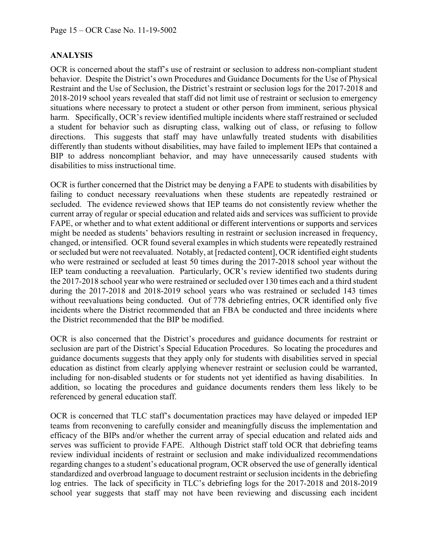## **ANALYSIS**

OCR is concerned about the staff's use of restraint or seclusion to address non-compliant student behavior. Despite the District's own Procedures and Guidance Documents for the Use of Physical Restraint and the Use of Seclusion, the District's restraint or seclusion logs for the 2017-2018 and 2018-2019 school years revealed that staff did not limit use of restraint or seclusion to emergency situations where necessary to protect a student or other person from imminent, serious physical harm. Specifically, OCR's review identified multiple incidents where staff restrained or secluded a student for behavior such as disrupting class, walking out of class, or refusing to follow directions. This suggests that staff may have unlawfully treated students with disabilities differently than students without disabilities, may have failed to implement IEPs that contained a BIP to address noncompliant behavior, and may have unnecessarily caused students with disabilities to miss instructional time.

OCR is further concerned that the District may be denying a FAPE to students with disabilities by failing to conduct necessary reevaluations when these students are repeatedly restrained or secluded. The evidence reviewed shows that IEP teams do not consistently review whether the current array of regular or special education and related aids and services was sufficient to provide FAPE, or whether and to what extent additional or different interventions or supports and services might be needed as students' behaviors resulting in restraint or seclusion increased in frequency, changed, or intensified. OCR found several examples in which students were repeatedly restrained or secluded but were not reevaluated. Notably, at [redacted content], OCR identified eight students who were restrained or secluded at least 50 times during the 2017-2018 school year without the IEP team conducting a reevaluation. Particularly, OCR's review identified two students during the 2017-2018 school year who were restrained or secluded over 130 times each and a third student during the 2017-2018 and 2018-2019 school years who was restrained or secluded 143 times without reevaluations being conducted. Out of 778 debriefing entries, OCR identified only five incidents where the District recommended that an FBA be conducted and three incidents where the District recommended that the BIP be modified.

OCR is also concerned that the District's procedures and guidance documents for restraint or seclusion are part of the District's Special Education Procedures. So locating the procedures and guidance documents suggests that they apply only for students with disabilities served in special education as distinct from clearly applying whenever restraint or seclusion could be warranted, including for non-disabled students or for students not yet identified as having disabilities. In addition, so locating the procedures and guidance documents renders them less likely to be referenced by general education staff.

OCR is concerned that TLC staff's documentation practices may have delayed or impeded IEP teams from reconvening to carefully consider and meaningfully discuss the implementation and efficacy of the BIPs and/or whether the current array of special education and related aids and serves was sufficient to provide FAPE. Although District staff told OCR that debriefing teams review individual incidents of restraint or seclusion and make individualized recommendations regarding changes to a student's educational program, OCR observed the use of generally identical standardized and overbroad language to document restraint or seclusion incidents in the debriefing log entries. The lack of specificity in TLC's debriefing logs for the 2017-2018 and 2018-2019 school year suggests that staff may not have been reviewing and discussing each incident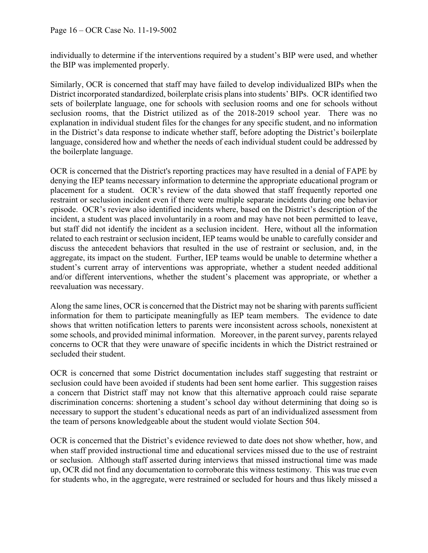individually to determine if the interventions required by a student's BIP were used, and whether the BIP was implemented properly.

Similarly, OCR is concerned that staff may have failed to develop individualized BIPs when the District incorporated standardized, boilerplate crisis plans into students' BIPs. OCR identified two sets of boilerplate language, one for schools with seclusion rooms and one for schools without seclusion rooms, that the District utilized as of the 2018-2019 school year. There was no explanation in individual student files for the changes for any specific student, and no information in the District's data response to indicate whether staff, before adopting the District's boilerplate language, considered how and whether the needs of each individual student could be addressed by the boilerplate language.

OCR is concerned that the District's reporting practices may have resulted in a denial of FAPE by denying the IEP teams necessary information to determine the appropriate educational program or placement for a student. OCR's review of the data showed that staff frequently reported one restraint or seclusion incident even if there were multiple separate incidents during one behavior episode. OCR's review also identified incidents where, based on the District's description of the incident, a student was placed involuntarily in a room and may have not been permitted to leave, but staff did not identify the incident as a seclusion incident. Here, without all the information related to each restraint or seclusion incident, IEP teams would be unable to carefully consider and discuss the antecedent behaviors that resulted in the use of restraint or seclusion, and, in the aggregate, its impact on the student. Further, IEP teams would be unable to determine whether a student's current array of interventions was appropriate, whether a student needed additional and/or different interventions, whether the student's placement was appropriate, or whether a reevaluation was necessary.

Along the same lines, OCR is concerned that the District may not be sharing with parents sufficient information for them to participate meaningfully as IEP team members. The evidence to date shows that written notification letters to parents were inconsistent across schools, nonexistent at some schools, and provided minimal information. Moreover, in the parent survey, parents relayed concerns to OCR that they were unaware of specific incidents in which the District restrained or secluded their student.

OCR is concerned that some District documentation includes staff suggesting that restraint or seclusion could have been avoided if students had been sent home earlier. This suggestion raises a concern that District staff may not know that this alternative approach could raise separate discrimination concerns: shortening a student's school day without determining that doing so is necessary to support the student's educational needs as part of an individualized assessment from the team of persons knowledgeable about the student would violate Section 504.

OCR is concerned that the District's evidence reviewed to date does not show whether, how, and when staff provided instructional time and educational services missed due to the use of restraint or seclusion. Although staff asserted during interviews that missed instructional time was made up, OCR did not find any documentation to corroborate this witness testimony. This was true even for students who, in the aggregate, were restrained or secluded for hours and thus likely missed a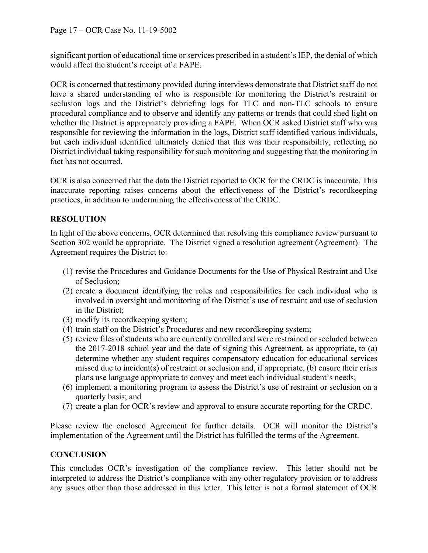significant portion of educational time or services prescribed in a student's IEP, the denial of which would affect the student's receipt of a FAPE.

OCR is concerned that testimony provided during interviews demonstrate that District staff do not have a shared understanding of who is responsible for monitoring the District's restraint or seclusion logs and the District's debriefing logs for TLC and non-TLC schools to ensure procedural compliance and to observe and identify any patterns or trends that could shed light on whether the District is appropriately providing a FAPE. When OCR asked District staff who was responsible for reviewing the information in the logs, District staff identified various individuals, but each individual identified ultimately denied that this was their responsibility, reflecting no District individual taking responsibility for such monitoring and suggesting that the monitoring in fact has not occurred.

OCR is also concerned that the data the District reported to OCR for the CRDC is inaccurate. This inaccurate reporting raises concerns about the effectiveness of the District's recordkeeping practices, in addition to undermining the effectiveness of the CRDC.

# **RESOLUTION**

In light of the above concerns, OCR determined that resolving this compliance review pursuant to Section 302 would be appropriate. The District signed a resolution agreement (Agreement). The Agreement requires the District to:

- (1) revise the Procedures and Guidance Documents for the Use of Physical Restraint and Use of Seclusion;
- (2) create a document identifying the roles and responsibilities for each individual who is involved in oversight and monitoring of the District's use of restraint and use of seclusion in the District;
- (3) modify its recordkeeping system;
- (4) train staff on the District's Procedures and new recordkeeping system;
- (5) review files of students who are currently enrolled and were restrained or secluded between the 2017-2018 school year and the date of signing this Agreement, as appropriate, to (a) determine whether any student requires compensatory education for educational services missed due to incident(s) of restraint or seclusion and, if appropriate, (b) ensure their crisis plans use language appropriate to convey and meet each individual student's needs;
- (6) implement a monitoring program to assess the District's use of restraint or seclusion on a quarterly basis; and
- (7) create a plan for OCR's review and approval to ensure accurate reporting for the CRDC.

Please review the enclosed Agreement for further details. OCR will monitor the District's implementation of the Agreement until the District has fulfilled the terms of the Agreement.

# **CONCLUSION**

This concludes OCR's investigation of the compliance review. This letter should not be interpreted to address the District's compliance with any other regulatory provision or to address any issues other than those addressed in this letter. This letter is not a formal statement of OCR